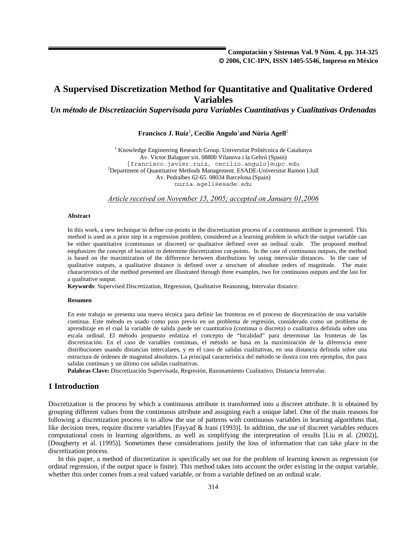*Un método de Discretización Supervisada para Variables Cuantitativas y Cualitativas Ordenadas* 

 $\mathbf{F}$ rancisco **J. Ruiz** $^{\text{l}}$ **, Cecilio Angulo** $^{\text{l}}$ **and Núria Agell** $^{\text{2}}$ 

<sup>1</sup> Knowledge Engineering Research Group. Universitat Politècnica de Catalunya Av. Víctor Balaguer s/n. 08800 Vilanova i la Geltrú (Spain) {francisco.javier.ruiz, cecilio.angulo}@upc.edu <sup>2</sup> <sup>2</sup>Department of Quantitative Methods Management. ESADE-Universitat Ramon Llull Av. Pedralbes 62-65. 08034 Barcelona (Spain) nuria.agell@esade.edu

*Article received on November 15, 2005; accepted on January 01,2006*

#### **Abstract**

In this work, a new technique to define cut-points in the discretization process of a continuous attribute is presented. This method is used as a prior step in a regression problem, considered as a learning problem in which the output variable can be either quantitative (continuous or discreet) or qualitative defined over an ordinal scale. The proposed method emphasizes the concept of location to determine discretization cut-points. In the case of continuous outputs, the method is based on the maximization of the difference between distributions by using intervalar distances. In the case of qualitative outputs, a qualitative distance is defined over a structure of absolute orders of magnitude. The main characteristics of the method presented are illustrated through three examples, two for continuous outputs and the last for a qualitative output.

**Keywords**: Supervised Discretization, Regression, Qualitative Reasoning, Intervalar distance.

#### **Resumen**

En este trabajo se presenta una nueva técnica para definir las fronteras en el proceso de discretización de una variable continua. Este método es usado como paso previo en un problema de regresión, considerado como un problema de aprendizaje en el cual la variable de salida puede ser cuantitativa (continua o discreta) o cualitativa definida sobre una escala ordinal. El método propuesto enfatiza el concepto de "localidad" para determinar las fronteras de las discretización. En el caso de variables continuas, el método se basa en la maximización de la diferencia entre distribuciones usando distancias intercalares, y en el caso de salidas cualitativas, en una distancia definida sobre una estructura de órdenes de magnitud absolutos. La principal característica del método se ilustra con tres ejemplos, dos para salidas continuas y un último con salidas cualitativas.

**Palabras Clave:** Discretización Supervisada, Regresión, Razonamiento Cualitativo, Distancia Intervalar.

## **1 Introduction**

Discretization is the process by which a continuous attribute is transformed into a discreet attribute. It is obtained by grouping different values from the continuous attribute and assigning each a unique label. One of the main reasons for following a discretization process is to allow the use of patterns with continuous variables in learning algorithms that, like decision trees, require discrete variables [Fayyad & Irani (1993)]. In addition, the use of discreet variables reduces computational costs in learning algorithms, as well as simplifying the interpretation of results [Liu et al. (2002)], [Dougherty et al. (1995)]. Sometimes these considerations justify the loss of information that can take place in the discretization process.

In this paper, a method of discretization is specifically set out for the problem of learning known as regression (or ordinal regression, if the output space is finite). This method takes into account the order existing in the output variable, whether this order comes from a real valued variable, or from a variable defined on an ordinal scale.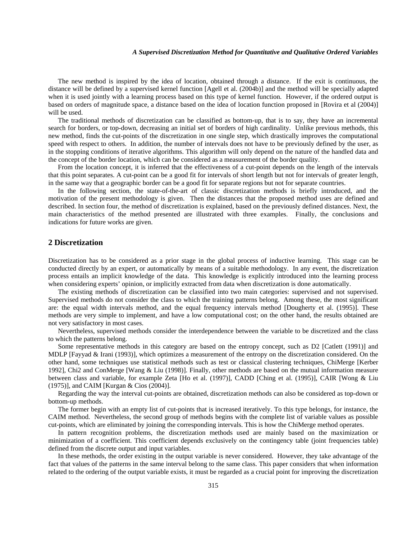The new method is inspired by the idea of location, obtained through a distance. If the exit is continuous, the distance will be defined by a supervised kernel function [Agell et al. (2004b)] and the method will be specially adapted when it is used jointly with a learning process based on this type of kernel function. However, if the ordered output is based on orders of magnitude space, a distance based on the idea of location function proposed in [Rovira et al (2004)] will be used.

The traditional methods of discretization can be classified as bottom-up, that is to say, they have an incremental search for borders, or top-down, decreasing an initial set of borders of high cardinality. Unlike previous methods, this new method, finds the cut-points of the discretization in one single step, which drastically improves the computational speed with respect to others. In addition, the number of intervals does not have to be previously defined by the user, as in the stopping conditions of iterative algorithms. This algorithm will only depend on the nature of the handled data and the concept of the border location, which can be considered as a measurement of the border quality.

From the location concept, it is inferred that the effectiveness of a cut-point depends on the length of the intervals that this point separates. A cut-point can be a good fit for intervals of short length but not for intervals of greater length, in the same way that a geographic border can be a good fit for separate regions but not for separate countries.

In the following section, the state-of-the-art of classic discretization methods is briefly introduced, and the motivation of the present methodology is given. Then the distances that the proposed method uses are defined and described. In section four, the method of discretization is explained, based on the previously defined distances. Next, the main characteristics of the method presented are illustrated with three examples. Finally, the conclusions and indications for future works are given.

### **2 Discretization**

Discretization has to be considered as a prior stage in the global process of inductive learning. This stage can be conducted directly by an expert, or automatically by means of a suitable methodology. In any event, the discretization process entails an implicit knowledge of the data. This knowledge is explicitly introduced into the learning process when considering experts' opinion, or implicitly extracted from data when discretization is done automatically.

The existing methods of discretization can be classified into two main categories: supervised and not supervised. Supervised methods do not consider the class to which the training patterns belong. Among these, the most significant are: the equal width intervals method, and the equal frequency intervals method [Dougherty et al. (1995)]. These methods are very simple to implement, and have a low computational cost; on the other hand, the results obtained are not very satisfactory in most cases.

Nevertheless, supervised methods consider the interdependence between the variable to be discretized and the class to which the patterns belong.

Some representative methods in this category are based on the entropy concept, such as D2 [Catlett (1991)] and MDLP [Fayyad & Irani (1993)], which optimizes a measurement of the entropy on the discretization considered. On the other hand, some techniques use statistical methods such as test or classical clustering techniques, ChiMerge [Kerber 1992], Chi2 and ConMerge [Wang & Liu (1998)]. Finally, other methods are based on the mutual information measure between class and variable, for example Zeta [Ho et al. (1997)], CADD [Ching et al. (1995)], CAIR [Wong & Liu (1975)], and CAIM [Kurgan & Cios (2004)].

Regarding the way the interval cut-points are obtained, discretization methods can also be considered as top-down or bottom-up methods.

The former begin with an empty list of cut-points that is increased iteratively. To this type belongs, for instance, the CAIM method. Nevertheless, the second group of methods begins with the complete list of variable values as possible cut-points, which are eliminated by joining the corresponding intervals. This is how the ChiMerge method operates.

In pattern recognition problems, the discretization methods used are mainly based on the maximization or minimization of a coefficient. This coefficient depends exclusively on the contingency table (joint frequencies table) defined from the discrete output and input variables.

In these methods, the order existing in the output variable is never considered. However, they take advantage of the fact that values of the patterns in the same interval belong to the same class. This paper considers that when information related to the ordering of the output variable exists, it must be regarded as a crucial point for improving the discretization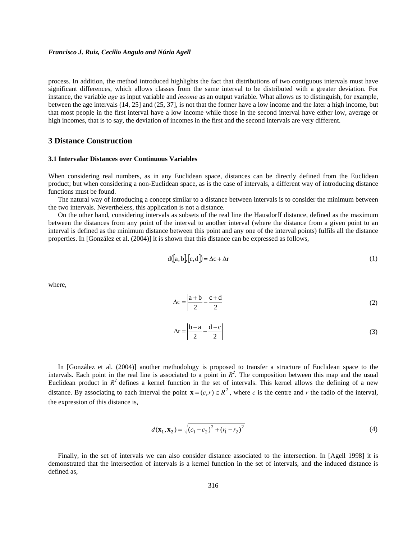process. In addition, the method introduced highlights the fact that distributions of two contiguous intervals must have significant differences, which allows classes from the same interval to be distributed with a greater deviation. For instance, the variable *age* as input variable and *income* as an output variable. What allows us to distinguish, for example, between the age intervals (14, 25] and (25, 37], is not that the former have a low income and the later a high income, but that most people in the first interval have a low income while those in the second interval have either low, average or high incomes, that is to say, the deviation of incomes in the first and the second intervals are very different.

### **3 Distance Construction**

#### **3.1 Intervalar Distances over Continuous Variables**

When considering real numbers, as in any Euclidean space, distances can be directly defined from the Euclidean product; but when considering a non-Euclidean space, as is the case of intervals, a different way of introducing distance functions must be found.

The natural way of introducing a concept similar to a distance between intervals is to consider the minimum between the two intervals. Nevertheless, this application is not a distance.

On the other hand, considering intervals as subsets of the real line the Hausdorff distance, defined as the maximum between the distances from any point of the interval to another interval (where the distance from a given point to an interval is defined as the minimum distance between this point and any one of the interval points) fulfils all the distance properties. In [González et al. (2004)] it is shown that this distance can be expressed as follows,

$$
d([a, b], [c, d]) = \Delta c + \Delta r \tag{1}
$$

where,

$$
\Delta c = \left| \frac{a+b}{2} - \frac{c+d}{2} \right| \tag{2}
$$

$$
\Delta r = \left| \frac{b - a}{2} - \frac{d - c}{2} \right| \tag{3}
$$

In [González et al. (2004)] another methodology is proposed to transfer a structure of Euclidean space to the intervals. Each point in the real line is associated to a point in  $R<sup>2</sup>$ . The composition between this map and the usual Euclidean product in  $R^2$  defines a kernel function in the set of intervals. This kernel allows the defining of a new distance. By associating to each interval the point  $\mathbf{x} = (c, r) \in R^2$ , where *c* is the centre and *r* the radio of the interval, the expression of this distance is,

$$
d(\mathbf{x}_1, \mathbf{x}_2) = \sqrt{(c_1 - c_2)^2 + (r_1 - r_2)^2}
$$
 (4)

Finally, in the set of intervals we can also consider distance associated to the intersection. In [Agell 1998] it is demonstrated that the intersection of intervals is a kernel function in the set of intervals, and the induced distance is defined as,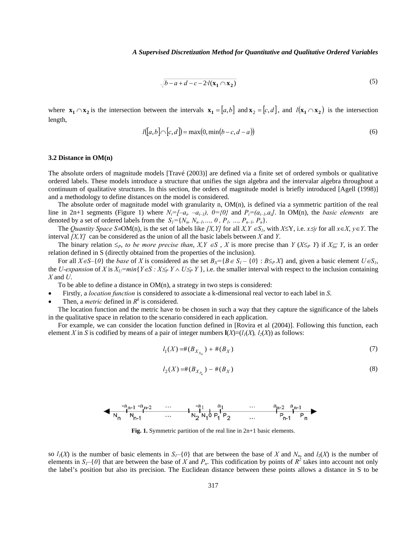$$
\sqrt{b-a+d-c-2\cdot l(\mathbf{x}_1 \cap \mathbf{x}_2)}\tag{5}
$$

where  $\mathbf{x}_1 \cap \mathbf{x}_2$  is the intersection between the intervals  $\mathbf{x}_1 = [a, b]$  and  $\mathbf{x}_2 = [c, d]$ , and  $l(\mathbf{x}_1 \cap \mathbf{x}_2)$  is the intersection length,

$$
l([a,b]\cap[c,d]) = \max(0,\min(b-c,d-a))
$$
\n(6)

#### **3.2 Distance in OM(n)**

The absolute orders of magnitude models [Travé (2003)] are defined via a finite set of ordered symbols or qualitative ordered labels. These models introduce a structure that unifies the sign algebra and the intervalar algebra throughout a continuum of qualitative structures. In this section, the orders of magnitude model is briefly introduced [Agell (1998)] and a methodology to define distances on the model is considered.

The absolute order of magnitude model with granularity n, OM(n), is defined via a symmetric partition of the real line in 2n+1 segments (Figure 1) where  $N_i = [-a_i, -a_{i-1}), 0 = \{0\}$  and  $P_i = (a_{i-1}, a_i]$ . In OM(n), the *basic elements* are denoted by a set of ordered labels from the  $S_l = \{N_n, N_{n-l}, ..., 0, P_1, ..., P_{n-l}, P_n\}.$ 

The *Quantity Space S*≡OM(n), is the set of labels like *[X,Y]* for all *X,Y* ∈*S<sub>1</sub>*, with *X*≤Y, i.e. *x*≤*y* for all *x*∈*X*, *y*∈*Y*. The interval *[X,Y]* can be considered as the union of all the basic labels between *X* and *Y*.

The binary relation  $\leq_P$ , to be more precise than,  $X, Y \in S$ , X is more precise than *Y* ( $X \leq_P Y$ ) if  $X \leq Y$ , is an order relation defined in S (directly obtained from the properties of the inclusion).

For all  $X \in S - \{0\}$  the *base* of *X* is considered as the set  $B_X = \{B \in S_I - \{0\} : B \leq_P X\}$  and, given a basic element  $U \in S_I$ , the *U-expansion* of *X* is  $X_U = min\{Y \in S : X \leq_P Y \wedge U \leq_P Y\}$ , i.e. the smaller interval with respect to the inclusion containing *X* and *U*.

To be able to define a distance in  $OM(n)$ , a strategy in two steps is considered:

- Firstly, a *location function* is considered to associate a k-dimensional real vector to each label in *S*.
- Then, a *metric* defined in  $R^k$  is considered.

The location function and the metric have to be chosen in such a way that they capture the significance of the labels in the qualitative space in relation to the scenario considered in each application.

For example, we can consider the location function defined in [Rovira et al (2004)]. Following this function, each element *X* in *S* is codified by means of a pair of integer numbers  $\mathbf{l}(X)=(l_1(X), l_2(X))$  as follows:

$$
l_1(X) = \#(B_{X_{N_n}}) + \#(B_X) \tag{7}
$$

$$
l_2(X) = \#(B_{X_{P_n}}) - \#(B_X)
$$
\n(8)

$$
\longrightarrow \begin{array}{ccccccccc}\n-a_{n-1}&-a_{n-2}&\cdots&-a_{1}&a_{1}&\cdots&a_{n-2}&a_{n-1}&\cdots&-a_{n-1}&\cdots&-a_{n-1}&\cdots&-a_{n-1}&\cdots&-a_{n-1}&\cdots&-a_{n-1}&\cdots&-a_{n-1}&\cdots&-a_{n-1}&\cdots&-a_{n-1}&\cdots&-a_{n-1}&\cdots&-a_{n-1}&\cdots&-a_{n-1}&\cdots&-a_{n-1}&\cdots&-a_{n-1}&\cdots&-a_{n-1}&\cdots&-a_{n-1}&\cdots&-a_{n-1}&\cdots&-a_{n-1}&\cdots&-a_{n-1}&\cdots&-a_{n-1}&\cdots&-a_{n-1}&\cdots&-a_{n-1}&\cdots&-a_{n-1}&\cdots&-a_{n-1}&\cdots&-a_{n-1}&\cdots&-a_{n-1}&\cdots&-a_{n-1}&\cdots&-a_{n-1}&\cdots&-a_{n-1}&\cdots&-a_{n-1}&\cdots&-a_{n-1}&\cdots&-a_{n-1}&\cdots&-a_{n-1}&\cdots&-a_{n-1}&\cdots&-a_{n-1}&\cdots&-a_{n-1}&\cdots&-a_{n-1}&\cdots&-a_{n-1}&\cdots&-a_{n-1}&\cdots&-a_{n-1}&\cdots&-a_{n-1}&\cdots&-a_{n-1}&\cdots&-a_{n-1}&\cdots&-a_{n-1}&\cdots&-a_{n-1}&\cdots&-a_{n-1}&\cdots&-a_{n-1}&\cdots&-a_{n-1}&\cdots&-a_{n-1}&\cdots&-a_{n-1}&\cdots&-a_{n-1}&\cdots&-a_{n-1}&\cdots&-a_{n-1}&\cdots&-a_{n-1}&\cdots&-a_{n-1}&\cdots&-a_{n-1}&\cdots&-a_{n-1}&\cdots&-a_{n-1}&\cdots&-a_{n-1}&\cdots&-a_{n-1}&\cdots&-a_{n-1}&\cdots&-a_{n-1}&\cdots&-a_{n-1}&\cdots&-a_{n-1}&\cdots&-a_{n-1}&\cdots
$$

**Fig. 1.** Symmetric partition of the real line in 2n+1 basic elements.

so  $l_1(X)$  is the number of basic elements in  $S_1$ –{0} that are between the base of *X* and  $N_n$ , and  $l_2(X)$  is the number of elements in  $S_I$ –{0} that are between the base of *X* and  $P_n$ . This codification by points of  $R^2$  takes into account not only the label's position but also its precision. The Euclidean distance between these points allows a distance in S to be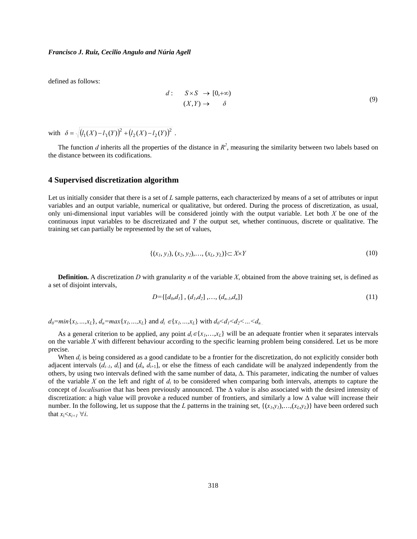defined as follows:

$$
d: \quad S \times S \to [0, +\infty) (X, Y) \to \delta
$$
 (9)

with  $\delta = \sqrt{(l_1(X) - l_1(Y))^2 + (l_2(X) - l_2(Y))^2}$ .

The function *d* inherits all the properties of the distance in  $R^2$ , measuring the similarity between two labels based on the distance between its codifications.

### **4 Supervised discretization algorithm**

Let us initially consider that there is a set of *L* sample patterns, each characterized by means of a set of attributes or input variables and an output variable, numerical or qualitative, but ordered. During the process of discretization, as usual, only uni-dimensional input variables will be considered jointly with the output variable. Let both *X* be one of the continuous input variables to be discretizated and *Y* the output set, whether continuous, discrete or qualitative. The training set can partially be represented by the set of values,

$$
\{(x_1, y_1), (x_2, y_2), \dots, (x_L, y_L)\} \subset X \times Y \tag{10}
$$

**Definition.** A discretization *D* with granularity *n* of the variable *X*, obtained from the above training set, is defined as a set of disjoint intervals,

$$
D = \{ [d_0, d_1], (d_1, d_2], \dots, (d_{n-l}, d_n] \}
$$
\n
$$
(11)
$$

 $d_0 = min\{x_1, ..., x_L\}, d_n = max\{x_1, ..., x_L\}$  and  $d_i \in \{x_1, ..., x_L\}$  with  $d_0 < d_1 < d_2 < ... < d_n$ 

As a general criterion to be applied, any point  $d_i \in \{x_1, \ldots, x_k\}$  will be an adequate frontier when it separates intervals on the variable *X* with different behaviour according to the specific learning problem being considered. Let us be more precise.

When  $d_i$  is being considered as a good candidate to be a frontier for the discretization, do not explicitly consider both adjacent intervals  $(d_{i-1}, d_i]$  and  $(d_i, d_{i+1}]$ , or else the fitness of each candidate will be analyzed independently from the others, by using two intervals defined with the same number of data, Δ. This parameter, indicating the number of values of the variable *X* on the left and right of *di* to be considered when comparing both intervals, attempts to capture the concept of *localisation* that has been previously announced. The Δ value is also associated with the desired intensity of discretization: a high value will provoke a reduced number of frontiers, and similarly a low Δ value will increase their number. In the following, let us suppose that the *L* patterns in the training set,  $\{(x_i, y_i), ..., (x_i, y_i)\}\)$  have been ordered such that  $x_i < x_{i+1} \ \forall i$ .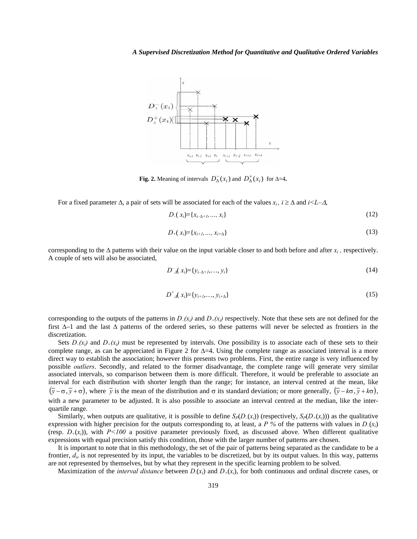

**Fig. 2.** Meaning of intervals  $D_{\Delta}^-(x_i)$  and  $D_{\Delta}^+(x_i)$  for  $\Delta=4$ .

For a fixed parameter  $\Delta$ , a pair of sets will be associated for each of the values  $x_i$ ,  $i \geq \Delta$  and  $i \leq L-\Delta$ ,

$$
D_{-}(x_i) = \{x_{i-\Delta+1}, \ldots, x_i\} \tag{12}
$$

$$
D_{+}(x_{i}) = \{x_{i+1}, ..., x_{i+\Delta}\}\tag{13}
$$

corresponding to the  $\Delta$  patterns with their value on the input variable closer to and both before and after  $x_i$ , respectively. A couple of sets will also be associated,

$$
D^{-}_{A}(x_{i}) = \{y_{i-A+1}, \ldots, y_{i}\}
$$
\n(14)

$$
D^+_{A}(x_i) = \{y_{i+1}, \ldots, y_{i+\Delta}\}\tag{15}
$$

corresponding to the outputs of the patterns in  $D_{-}(x_i)$  and  $D_{+}(x_i)$  respectively. Note that these sets are not defined for the first  $\Delta-1$  and the last  $\Delta$  patterns of the ordered series, so these patterns will never be selected as frontiers in the discretization.

Sets  $D_{-}(x_i)$  and  $D_{+}(x_i)$  must be represented by intervals. One possibility is to associate each of these sets to their complete range, as can be appreciated in Figure 2 for  $\Delta=4$ . Using the complete range as associated interval is a more direct way to establish the association; however this presents two problems. First, the entire range is very influenced by possible *outliers*. Secondly, and related to the former disadvantage, the complete range will generate very similar associated intervals, so comparison between them is more difficult. Therefore, it would be preferable to associate an interval for each distribution with shorter length than the range; for instance, an interval centred at the mean, like  $(\bar{y} - \sigma, \bar{y} + \sigma)$ , where  $\bar{y}$  is the mean of the distribution and  $\sigma$  its standard deviation; or more generally,  $(\bar{y} - k\sigma, \bar{y} + k\sigma)$ , with a new parameter to be adjusted. It is also possible to associate an interval centred at the median, like the interquartile range.

Similarly, when outputs are qualitative, it is possible to define  $S_P(D_-(x_i))$  (respectively,  $S_P(D_+(x_i))$ ) as the qualitative expression with higher precision for the outputs corresponding to, at least, a *P* % of the patterns with values in  $D(x_i)$ (resp.  $D_{+}(x_i)$ ), with  $P<100$  a positive parameter previously fixed, as discussed above. When different qualitative expressions with equal precision satisfy this condition, those with the larger number of patterns are chosen.

It is important to note that in this methodology, the set of the pair of patterns being separated as the candidate to be a frontier, *di*, is not represented by its input, the variables to be discretized, but by its output values. In this way, patterns are not represented by themselves, but by what they represent in the specific learning problem to be solved.

Maximization of the *interval distance* between  $D(x_i)$  and  $D_+(x_i)$ , for both continuous and ordinal discrete cases, or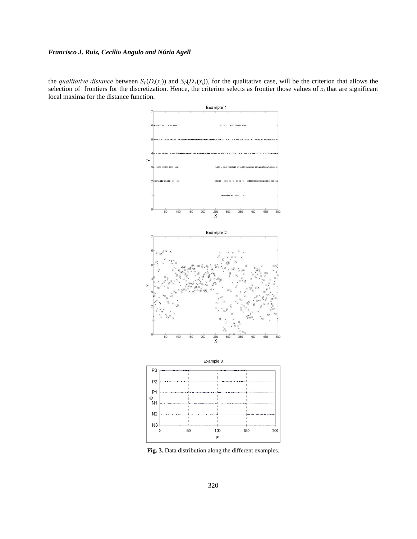the *qualitative distance* between  $S_P(D_1(x_i))$  and  $S_P(D_+(x_i))$ , for the qualitative case, will be the criterion that allows the selection of frontiers for the discretization. Hence, the criterion selects as frontier those values of  $x_i$  that are significant local maxima for the distance function.



**Fig. 3.** Data distribution along the different examples.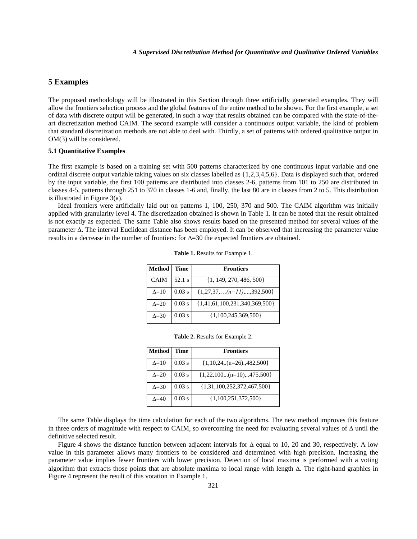# **5 Examples**

The proposed methodology will be illustrated in this Section through three artificially generated examples. They will allow the frontiers selection process and the global features of the entire method to be shown. For the first example, a set of data with discrete output will be generated, in such a way that results obtained can be compared with the state-of-theart discretization method CAIM. The second example will consider a continuous output variable, the kind of problem that standard discretization methods are not able to deal with. Thirdly, a set of patterns with ordered qualitative output in OM(3) will be considered.

### **5.1 Quantitative Examples**

The first example is based on a training set with 500 patterns characterized by one continuous input variable and one ordinal discrete output variable taking values on six classes labelled as {1,2,3,4,5,6}. Data is displayed such that, ordered by the input variable, the first 100 patterns are distributed into classes 2-6, patterns from 101 to 250 are distributed in classes 4-5, patterns through 251 to 370 in classes 1-6 and, finally, the last 80 are in classes from 2 to 5. This distribution is illustrated in Figure 3(a).

Ideal frontiers were artificially laid out on patterns 1, 100, 250, 370 and 500. The CAIM algorithm was initially applied with granularity level 4. The discretization obtained is shown in Table 1. It can be noted that the result obtained is not exactly as expected. The same Table also shows results based on the presented method for several values of the parameter Δ. The interval Euclidean distance has been employed. It can be observed that increasing the parameter value results in a decrease in the number of frontiers: for Δ=30 the expected frontiers are obtained.

| <b>Method</b> | <b>Time</b> | <b>Frontiers</b>                |
|---------------|-------------|---------------------------------|
| <b>CAIM</b>   | 52.1 s      | $\{1, 149, 270, 486, 500\}$     |
| $\Delta = 10$ | $0.03$ s    | $\{1,27,37,(n=11),,392,500\}$   |
| $\Delta = 20$ | $0.03$ s    | ${1,41,61,100,231,340,369,500}$ |
| $\Delta = 30$ | $0.03$ s    | $\{1,100,245,369,500\}$         |

|  |  |  |  | Table 1. Results for Example 1. |  |
|--|--|--|--|---------------------------------|--|
|--|--|--|--|---------------------------------|--|

|  |  |  | <b>Table 2.</b> Results for Example 2. |  |
|--|--|--|----------------------------------------|--|
|--|--|--|----------------------------------------|--|

| <b>Method</b>  | <b>Time</b> | <b>Frontiers</b>                |
|----------------|-------------|---------------------------------|
| $\Delta = 10$  | $0.03$ s    | $\{1,10,24, (n=26), 482, 500\}$ |
| $\Lambda = 20$ | $0.03$ s    | $\{1,22,100,(n=10),475,500\}$   |
| $\Lambda = 30$ | $0.03$ s    | ${1,31,100,252,372,467,500}$    |
| $\Delta = 40$  | $0.03$ s    | $\{1,100,251,372,500\}$         |

The same Table displays the time calculation for each of the two algorithms. The new method improves this feature in three orders of magnitude with respect to CAIM, so overcoming the need for evaluating several values of  $\Delta$  until the definitive selected result.

Figure 4 shows the distance function between adjacent intervals for  $\Delta$  equal to 10, 20 and 30, respectively. A low value in this parameter allows many frontiers to be considered and determined with high precision. Increasing the parameter value implies fewer frontiers with lower precision. Detection of local maxima is performed with a voting algorithm that extracts those points that are absolute maxima to local range with length Δ. The right-hand graphics in Figure 4 represent the result of this votation in Example 1.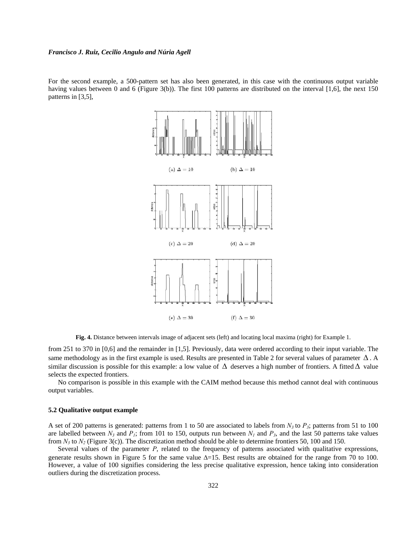For the second example, a 500-pattern set has also been generated, in this case with the continuous output variable having values between 0 and 6 (Figure 3(b)). The first 100 patterns are distributed on the interval [1,6], the next 150 patterns in [3,5],



**Fig. 4.** Distance between intervals image of adjacent sets (left) and locating local maxima (right) for Example 1.

from 251 to 370 in [0,6] and the remainder in [1,5]. Previously, data were ordered according to their input variable. The same methodology as in the first example is used. Results are presented in Table 2 for several values of parameter  $\Delta$ . A similar discussion is possible for this example: a low value of  $\Delta$  deserves a high number of frontiers. A fitted  $\Delta$  value selects the expected frontiers.

No comparison is possible in this example with the CAIM method because this method cannot deal with continuous output variables.

#### **5.2 Qualitative output example**

A set of 200 patterns is generated: patterns from 1 to 50 are associated to labels from  $N_3$  to  $P_3$ ; patterns from 51 to 100 are labelled between  $N_3$  and  $P_1$ ; from 101 to 150, outputs run between  $N_1$  and  $P_3$ , and the last 50 patterns take values from  $N_3$  to  $N_2$  (Figure 3(c)). The discretization method should be able to determine frontiers 50, 100 and 150.

Several values of the parameter *P*, related to the frequency of patterns associated with qualitative expressions, generate results shown in Figure 5 for the same value  $\Delta=15$ . Best results are obtained for the range from 70 to 100. However, a value of 100 signifies considering the less precise qualitative expression, hence taking into consideration outliers during the discretization process.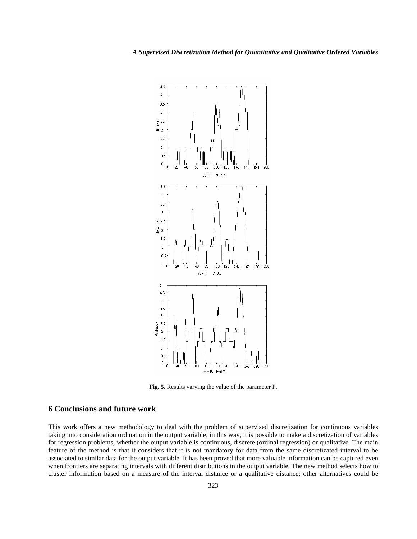

**Fig. 5.** Results varying the value of the parameter P.

# **6 Conclusions and future work**

This work offers a new methodology to deal with the problem of supervised discretization for continuous variables taking into consideration ordination in the output variable; in this way, it is possible to make a discretization of variables for regression problems, whether the output variable is continuous, discrete (ordinal regression) or qualitative. The main feature of the method is that it considers that it is not mandatory for data from the same discretizated interval to be associated to similar data for the output variable. It has been proved that more valuable information can be captured even when frontiers are separating intervals with different distributions in the output variable. The new method selects how to cluster information based on a measure of the interval distance or a qualitative distance; other alternatives could be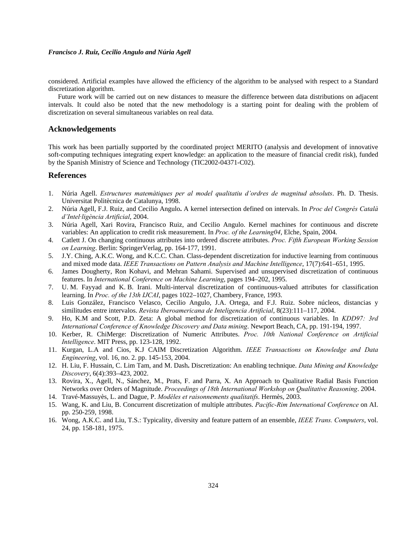considered. Artificial examples have allowed the efficiency of the algorithm to be analysed with respect to a Standard discretization algorithm.

Future work will be carried out on new distances to measure the difference between data distributions on adjacent intervals. It could also be noted that the new methodology is a starting point for dealing with the problem of discretization on several simultaneous variables on real data.

### **Acknowledgements**

This work has been partially supported by the coordinated project MERITO (analysis and development of innovative soft-computing techniques integrating expert knowledge: an application to the measure of financial credit risk), funded by the Spanish Ministry of Science and Technology (TIC2002-04371-C02).

### **References**

- 1. Núria Agell. *Estructures matemàtiques per al model qualitatiu d'ordres de magnitud absoluts*. Ph. D. Thesis. Universitat Politècnica de Catalunya, 1998.
- 2. Núria Agell, F.J. Ruiz, and Cecilio Angulo**.** A kernel intersection defined on intervals. In *Proc del Congrés Català d'Intel·ligència Artificial*, 2004.
- 3. Núria Agell, Xari Rovira, Francisco Ruiz, and Cecilio Angulo. Kernel machines for continuous and discrete variables: An application to credit risk measurement. In *Proc. of the Learning04*, Elche, Spain, 2004.
- 4. Catlett J. On changing continuous attributes into ordered discrete attributes. *Proc. Fifth European Working Session on Learning*. Berlin: SpringerVerlag, pp. 164-177, 1991.
- 5. J.Y. Ching, A.K.C. Wong, and K.C.C. Chan. Class-dependent discretization for inductive learning from continuous and mixed mode data. *IEEE Transactions on Pattern Analysis and Machine Intelligence*, 17(7):641–651, 1995.
- 6. James Dougherty, Ron Kohavi, and Mehran Sahami. Supervised and unsupervised discretization of continuous features. In *International Conference on Machine Learning*, pages 194–202, 1995.
- 7. U. M. Fayyad and K. B. Irani. Multi-interval discretization of continuous-valued attributes for classification learning. In *Proc. of the 13th IJCAI*, pages 1022–1027, Chambery, France, 1993.
- 8. Luis González, Francisco Velasco, Cecilio Angulo, J.A. Ortega, and F.J. Ruiz. Sobre núcleos, distancias y similitudes entre intervalos. *Revista Iberoamericana de Inteligencia Artificial*, 8(23):111–117, 2004.
- 9. Ho, K.M and Scott, P.D. Zeta: A global method for discretization of continuous variables. In *KDD97: 3rd International Conference of Knowledge Discovery and Data mining*. Newport Beach, CA, pp. 191-194, 1997.
- 10. Kerber, R. ChiMerge: Discretization of Numeric Attributes. *Proc. 10th National Conference on Artificial Intelligence*. MIT Press, pp. 123-128, 1992.
- 11. Kurgan, L.A and Cios, K.J CAIM Discretization Algorithm. *IEEE Transactions on Knowledge and Data Engineering*, vol. 16, no. 2. pp. 145-153, 2004.
- 12. H. Liu, F. Hussain, C. Lim Tam, and M. Dash**.** Discretization: An enabling technique. *Data Mining and Knowledge Discovery*, 6(4):393–423, 2002.
- 13. Rovira, X., Agell, N., Sánchez, M., Prats, F. and Parra, X. An Approach to Qualitative Radial Basis Function Networks over Orders of Magnitude. *Proceedings of 18th International Workshop on Qualitative Reasoning*. 2004.
- 14. Travé-Massuyès, L. and Dague, P. *Modèles et raisonnements qualitatifs*. Hermès, 2003.
- 15. Wang, K. and Liu, B. Concurrent discretization of multiple attributes. *Pacific-Rim International Conference* on AI. pp. 250-259, 1998.
- 16. Wong, A.K.C. and Liu, T.S.: Typicality, diversity and feature pattern of an ensemble, *IEEE Trans. Computers*, vol. 24, pp. 158-181, 1975.